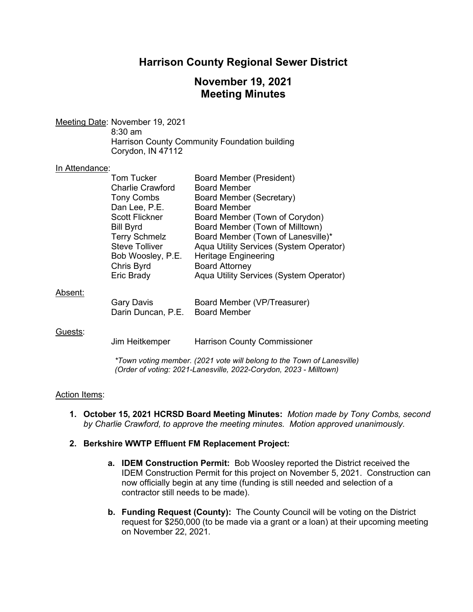# **Harrison County Regional Sewer District**

# **November 19, 2021 Meeting Minutes**

Meeting Date: November 19, 2021 8:30 am Harrison County Community Foundation building Corydon, IN 47112

#### In Attendance:

|         | Tom Tucker<br><b>Charlie Crawford</b>                                                                                                       | Board Member (President)<br><b>Board Member</b>                                                                                                                                                                                                       |
|---------|---------------------------------------------------------------------------------------------------------------------------------------------|-------------------------------------------------------------------------------------------------------------------------------------------------------------------------------------------------------------------------------------------------------|
|         | <b>Tony Combs</b><br>Dan Lee, P.E.                                                                                                          | Board Member (Secretary)<br><b>Board Member</b>                                                                                                                                                                                                       |
|         | <b>Scott Flickner</b><br><b>Bill Byrd</b><br><b>Terry Schmelz</b><br><b>Steve Tolliver</b><br>Bob Woosley, P.E.<br>Chris Byrd<br>Eric Brady | Board Member (Town of Corydon)<br>Board Member (Town of Milltown)<br>Board Member (Town of Lanesville)*<br>Aqua Utility Services (System Operator)<br><b>Heritage Engineering</b><br><b>Board Attorney</b><br>Aqua Utility Services (System Operator) |
| Absent: | <b>Gary Davis</b><br>Darin Duncan, P.E.                                                                                                     | Board Member (VP/Treasurer)<br><b>Board Member</b>                                                                                                                                                                                                    |
| Guests: | Jim Heitkemper                                                                                                                              | <b>Harrison County Commissioner</b>                                                                                                                                                                                                                   |

*\*Town voting member. (2021 vote will belong to the Town of Lanesville) (Order of voting: 2021-Lanesville, 2022-Corydon, 2023 - Milltown)*

#### **Action Items:**

- **1. October 15, 2021 HCRSD Board Meeting Minutes:** *Motion made by Tony Combs, second by Charlie Crawford, to approve the meeting minutes. Motion approved unanimously.*
- **2. Berkshire WWTP Effluent FM Replacement Project:** 
	- **a. IDEM Construction Permit:** Bob Woosley reported the District received the IDEM Construction Permit for this project on November 5, 2021. Construction can now officially begin at any time (funding is still needed and selection of a contractor still needs to be made).
	- **b. Funding Request (County):** The County Council will be voting on the District request for \$250,000 (to be made via a grant or a loan) at their upcoming meeting on November 22, 2021.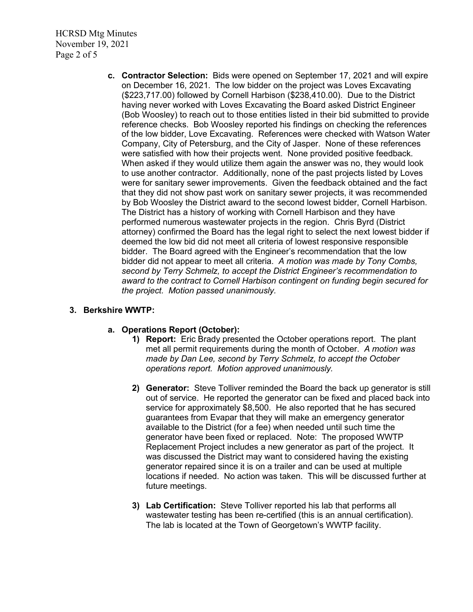HCRSD Mtg Minutes November 19, 2021 Page 2 of 5

> **c. Contractor Selection:** Bids were opened on September 17, 2021 and will expire on December 16, 2021. The low bidder on the project was Loves Excavating (\$223,717.00) followed by Cornell Harbison (\$238,410.00). Due to the District having never worked with Loves Excavating the Board asked District Engineer (Bob Woosley) to reach out to those entities listed in their bid submitted to provide reference checks. Bob Woosley reported his findings on checking the references of the low bidder, Love Excavating. References were checked with Watson Water Company, City of Petersburg, and the City of Jasper. None of these references were satisfied with how their projects went. None provided positive feedback. When asked if they would utilize them again the answer was no, they would look to use another contractor. Additionally, none of the past projects listed by Loves were for sanitary sewer improvements. Given the feedback obtained and the fact that they did not show past work on sanitary sewer projects, it was recommended by Bob Woosley the District award to the second lowest bidder, Cornell Harbison. The District has a history of working with Cornell Harbison and they have performed numerous wastewater projects in the region. Chris Byrd (District attorney) confirmed the Board has the legal right to select the next lowest bidder if deemed the low bid did not meet all criteria of lowest responsive responsible bidder. The Board agreed with the Engineer's recommendation that the low bidder did not appear to meet all criteria. *A motion was made by Tony Combs, second by Terry Schmelz, to accept the District Engineer's recommendation to award to the contract to Cornell Harbison contingent on funding begin secured for the project. Motion passed unanimously.*

### **3. Berkshire WWTP:**

### **a. Operations Report (October):**

- **1) Report:** Eric Brady presented the October operations report. The plant met all permit requirements during the month of October. *A motion was made by Dan Lee, second by Terry Schmelz, to accept the October operations report. Motion approved unanimously.*
- **2) Generator:** Steve Tolliver reminded the Board the back up generator is still out of service. He reported the generator can be fixed and placed back into service for approximately \$8,500. He also reported that he has secured guarantees from Evapar that they will make an emergency generator available to the District (for a fee) when needed until such time the generator have been fixed or replaced. Note: The proposed WWTP Replacement Project includes a new generator as part of the project. It was discussed the District may want to considered having the existing generator repaired since it is on a trailer and can be used at multiple locations if needed. No action was taken. This will be discussed further at future meetings.
- **3) Lab Certification:** Steve Tolliver reported his lab that performs all wastewater testing has been re-certified (this is an annual certification). The lab is located at the Town of Georgetown's WWTP facility.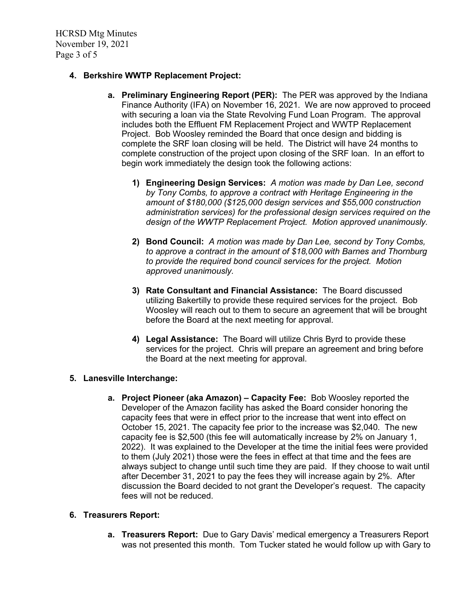HCRSD Mtg Minutes November 19, 2021 Page 3 of 5

### **4. Berkshire WWTP Replacement Project:**

- **a. Preliminary Engineering Report (PER):** The PER was approved by the Indiana Finance Authority (IFA) on November 16, 2021. We are now approved to proceed with securing a loan via the State Revolving Fund Loan Program. The approval includes both the Effluent FM Replacement Project and WWTP Replacement Project. Bob Woosley reminded the Board that once design and bidding is complete the SRF loan closing will be held. The District will have 24 months to complete construction of the project upon closing of the SRF loan. In an effort to begin work immediately the design took the following actions:
	- **1) Engineering Design Services:** *A motion was made by Dan Lee, second by Tony Combs, to approve a contract with Heritage Engineering in the amount of \$180,000 (\$125,000 design services and \$55,000 construction administration services) for the professional design services required on the design of the WWTP Replacement Project. Motion approved unanimously.*
	- **2) Bond Council:** *A motion was made by Dan Lee, second by Tony Combs, to approve a contract in the amount of \$18,000 with Barnes and Thornburg to provide the required bond council services for the project. Motion approved unanimously.*
	- **3) Rate Consultant and Financial Assistance:** The Board discussed utilizing Bakertilly to provide these required services for the project. Bob Woosley will reach out to them to secure an agreement that will be brought before the Board at the next meeting for approval.
	- **4) Legal Assistance:** The Board will utilize Chris Byrd to provide these services for the project. Chris will prepare an agreement and bring before the Board at the next meeting for approval.

### **5. Lanesville Interchange:**

**a. Project Pioneer (aka Amazon) – Capacity Fee:** Bob Woosley reported the Developer of the Amazon facility has asked the Board consider honoring the capacity fees that were in effect prior to the increase that went into effect on October 15, 2021. The capacity fee prior to the increase was \$2,040. The new capacity fee is \$2,500 (this fee will automatically increase by 2% on January 1, 2022). It was explained to the Developer at the time the initial fees were provided to them (July 2021) those were the fees in effect at that time and the fees are always subject to change until such time they are paid. If they choose to wait until after December 31, 2021 to pay the fees they will increase again by 2%. After discussion the Board decided to not grant the Developer's request. The capacity fees will not be reduced.

### **6. Treasurers Report:**

**a. Treasurers Report:** Due to Gary Davis' medical emergency a Treasurers Report was not presented this month. Tom Tucker stated he would follow up with Gary to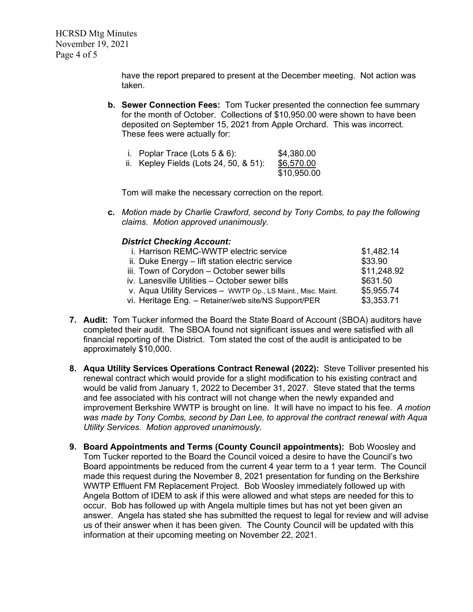HCRSD Mtg Minutes November 19, 2021 Page 4 of 5

> have the report prepared to present at the December meeting. Not action was taken.

**b. Sewer Connection Fees:** Tom Tucker presented the connection fee summary for the month of October. Collections of \$10,950.00 were shown to have been deposited on September 15, 2021 from Apple Orchard. This was incorrect. These fees were actually for:

| i. Poplar Trace (Lots $5 & 6$ ):       | \$4,380.00  |
|----------------------------------------|-------------|
| ii. Kepley Fields (Lots 24, 50, & 51): | \$6,570.00  |
|                                        | \$10,950.00 |

Tom will make the necessary correction on the report.

**c.** *Motion made by Charlie Crawford, second by Tony Combs, to pay the following claims. Motion approved unanimously.*

#### *District Checking Account:*

| i. Harrison REMC-WWTP electric service                       | \$1,482.14  |
|--------------------------------------------------------------|-------------|
| ii. Duke Energy - lift station electric service              | \$33.90     |
| iii. Town of Corydon - October sewer bills                   | \$11,248.92 |
| iv. Lanesville Utilities - October sewer bills               | \$631.50    |
| v. Aqua Utility Services - WWTP Op., LS Maint., Misc. Maint. | \$5,955.74  |
| vi. Heritage Eng. - Retainer/web site/NS Support/PER         | \$3,353.71  |

- **7. Audit:** Tom Tucker informed the Board the State Board of Account (SBOA) auditors have completed their audit. The SBOA found not significant issues and were satisfied with all financial reporting of the District. Tom stated the cost of the audit is anticipated to be approximately \$10,000.
- **8. Aqua Utility Services Operations Contract Renewal (2022):** Steve Tolliver presented his renewal contract which would provide for a slight modification to his existing contract and would be valid from January 1, 2022 to December 31, 2027. Steve stated that the terms and fee associated with his contract will not change when the newly expanded and improvement Berkshire WWTP is brought on line. It will have no impact to his fee. *A motion was made by Tony Combs, second by Dan Lee, to approval the contract renewal with Aqua Utility Services. Motion approved unanimously.*
- **9. Board Appointments and Terms (County Council appointments):** Bob Woosley and Tom Tucker reported to the Board the Council voiced a desire to have the Council's two Board appointments be reduced from the current 4 year term to a 1 year term. The Council made this request during the November 8, 2021 presentation for funding on the Berkshire WWTP Effluent FM Replacement Project. Bob Woosley immediately followed up with Angela Bottom of IDEM to ask if this were allowed and what steps are needed for this to occur. Bob has followed up with Angela multiple times but has not yet been given an answer. Angela has stated she has submitted the request to legal for review and will advise us of their answer when it has been given. The County Council will be updated with this information at their upcoming meeting on November 22, 2021.